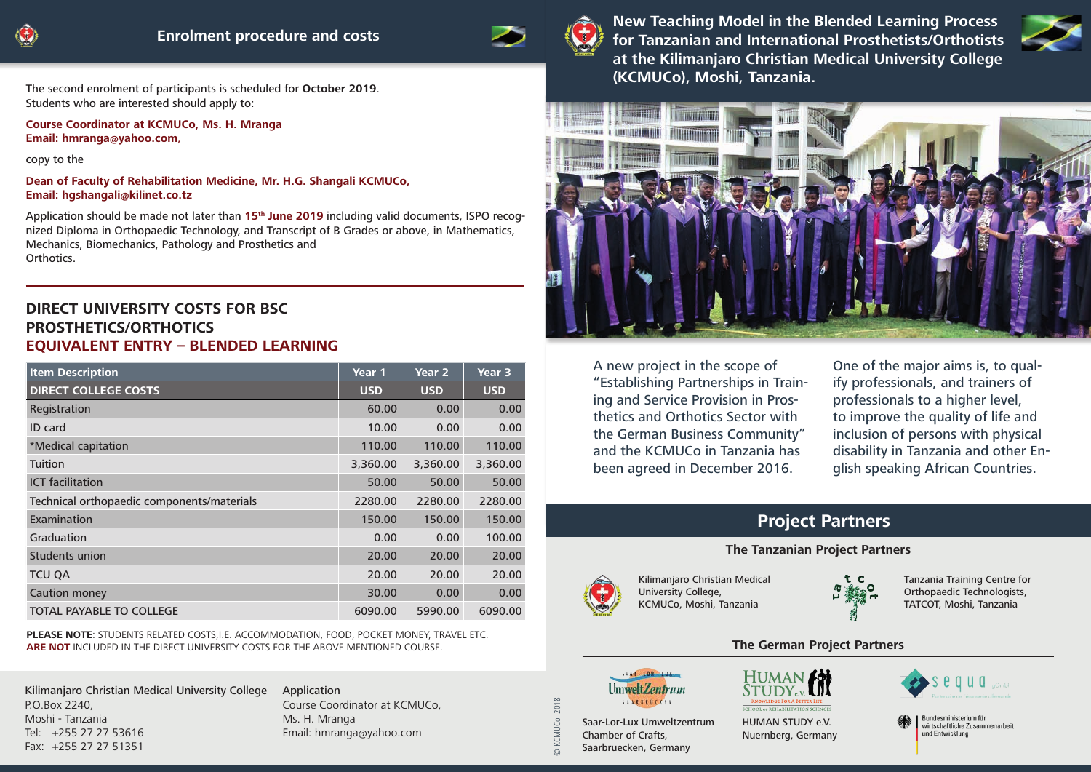The second enrolment of participants is scheduled for **October 2019**. Students who are interested should apply to:

**Course Coordinator at KCMUCo, Ms. H. Mranga Email: hmranga@yahoo.com**,

copy to the

**Dean of Faculty of Rehabilitation Medicine, Mr. H.G. Shangali KCMUCo, Email: hgshangali@kilinet.co.tz**

Application should be made not later than **15th June 2019** including valid documents, ISPO recognized Diploma in Orthopaedic Technology, and Transcript of B Grades or above, in Mathematics, Mechanics, Biomechanics, Pathology and Prosthetics and Orthotics.

## **DIRECT UNIVERSITY COSTS FOR BSC PROSTHETICS/ORTHOTICS EQUIVALENT ENTRY – BLENDED LEARNING**

| <b>Item Description</b>                    | Year 1     | Year <sub>2</sub> | Year <sub>3</sub> |
|--------------------------------------------|------------|-------------------|-------------------|
| <b>DIRECT COLLEGE COSTS</b>                | <b>USD</b> | <b>USD</b>        | <b>USD</b>        |
| Registration                               | 60.00      | 0.00              | 0.00              |
| ID card                                    | 10.00      | 0.00              | 0.00              |
| *Medical capitation                        | 110.00     | 110.00            | 110.00            |
| Tuition                                    | 3,360.00   | 3,360.00          | 3,360.00          |
| <b>ICT</b> facilitation                    | 50.00      | 50.00             | 50.00             |
| Technical orthopaedic components/materials | 2280.00    | 2280.00           | 2280.00           |
| <b>Examination</b>                         | 150.00     | 150.00            | 150.00            |
| Graduation                                 | 0.00       | 0.00              | 100.00            |
| Students union                             | 20.00      | 20.00             | 20.00             |
| <b>TCU QA</b>                              | 20.00      | 20.00             | 20.00             |
| <b>Caution money</b>                       | 30.00      | 0.00              | 0.00              |
| <b>TOTAL PAYABLE TO COLLEGE</b>            | 6090.00    | 5990.00           | 6090.00           |

**PLEASE NOTE**: STUDENTS RELATED COSTS,I.E. ACCOMMODATION, FOOD, POCKET MONEY, TRAVEL ETC. **ARE NOT** INCLUDED IN THE DIRECT UNIVERSITY COSTS FOR THE ABOVE MENTIONED COURSE.

Kilimanjaro Christian Medical University College P.O.Box 2240, Moshi - Tanzania Tel: +255 27 27 53616 Fax: +255 27 27 51351

Application Course Coordinator at KCMUCo, Ms. H. Mranga Email: hmranga@yahoo.com



**New Teaching Model in the Blended Learning Process for Tanzanian and International Prosthetists/Orthotists at the Kilimanjaro Christian Medical University College (KCMUCo), Moshi, Tanzania.**





A new project in the scope of "Establishing Partnerships in Training and Service Provision in Prosthetics and Orthotics Sector with the German Business Community" and the KCMUCo in Tanzania has been agreed in December 2016.

One of the major aims is, to qualify professionals, and trainers of professionals to a higher level, to improve the quality of life and inclusion of persons with physical disability in Tanzania and other English speaking African Countries.

# **Project Partners**

### **The Tanzanian Project Partners**



Kilimanjaro Christian Medical University College, KCMUCo, Moshi, Tanzania



Tanzania Training Centre for Orthopaedic Technologists, TATCOT, Moshi, Tanzania

### **The German Project Partners**



Saar-Lor-Lux Umweltzentrum

Chamber of Crafts, Saarbruecken, Germany

© KCMUCo 2018

 $\overline{\Omega}$ 

**SCO** 

 $2018$ 



HUMAN STUDY e.V. Nuernberg, Germany



Bundesministerium für wirtschaftliche Zusammenarbeit und Entwicklung